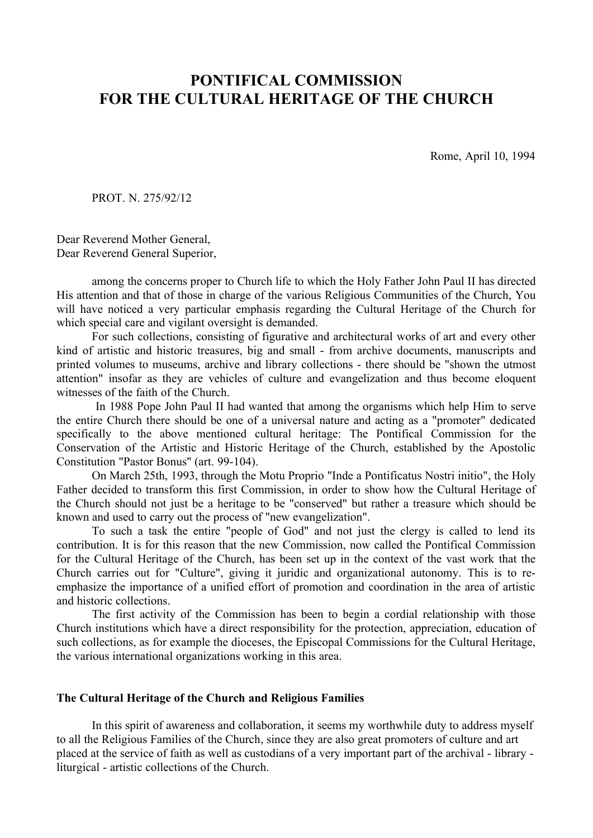# **PONTIFICAL COMMISSION FOR THE CULTURAL HERITAGE OF THE CHURCH**

Rome, April 10, 1994

PROT. N. 275/92/12

Dear Reverend Mother General, Dear Reverend General Superior,

among the concerns proper to Church life to which the Holy Father John Paul II has directed His attention and that of those in charge of the various Religious Communities of the Church, You will have noticed a very particular emphasis regarding the Cultural Heritage of the Church for which special care and vigilant oversight is demanded.

For such collections, consisting of figurative and architectural works of art and every other kind of artistic and historic treasures, big and small - from archive documents, manuscripts and printed volumes to museums, archive and library collections - there should be "shown the utmost attention" insofar as they are vehicles of culture and evangelization and thus become eloquent witnesses of the faith of the Church.

 In 1988 Pope John Paul II had wanted that among the organisms which help Him to serve the entire Church there should be one of a universal nature and acting as a "promoter" dedicated specifically to the above mentioned cultural heritage: The Pontifical Commission for the Conservation of the Artistic and Historic Heritage of the Church, established by the Apostolic Constitution "Pastor Bonus" (art. 99-104).

On March 25th, 1993, through the Motu Proprio "Inde a Pontificatus Nostri initio", the Holy Father decided to transform this first Commission, in order to show how the Cultural Heritage of the Church should not just be a heritage to be "conserved" but rather a treasure which should be known and used to carry out the process of "new evangelization".

To such a task the entire "people of God" and not just the clergy is called to lend its contribution. It is for this reason that the new Commission, now called the Pontifical Commission for the Cultural Heritage of the Church, has been set up in the context of the vast work that the Church carries out for "Culture", giving it juridic and organizational autonomy. This is to reemphasize the importance of a unified effort of promotion and coordination in the area of artistic and historic collections.

The first activity of the Commission has been to begin a cordial relationship with those Church institutions which have a direct responsibility for the protection, appreciation, education of such collections, as for example the dioceses, the Episcopal Commissions for the Cultural Heritage, the various international organizations working in this area.

## **The Cultural Heritage of the Church and Religious Families**

In this spirit of awareness and collaboration, it seems my worthwhile duty to address myself to all the Religious Families of the Church, since they are also great promoters of culture and art placed at the service of faith as well as custodians of a very important part of the archival - library liturgical - artistic collections of the Church.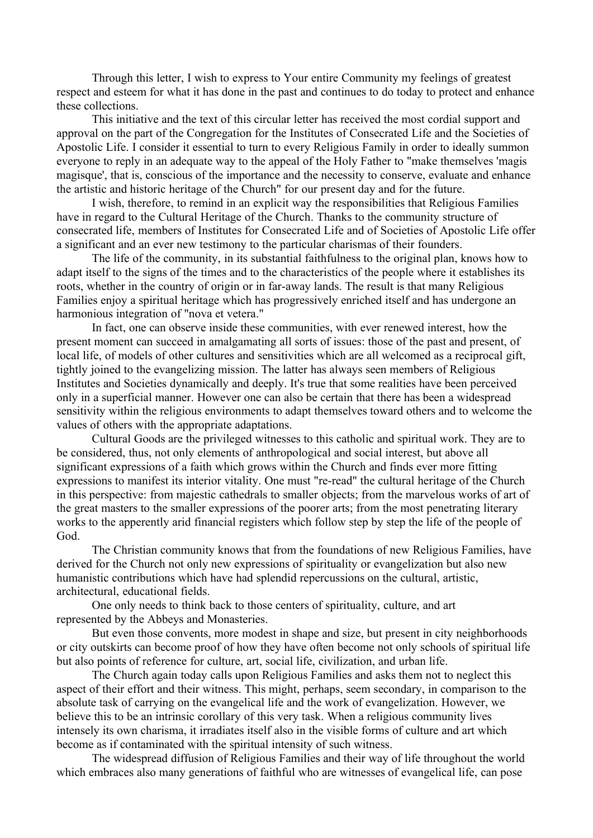Through this letter, I wish to express to Your entire Community my feelings of greatest respect and esteem for what it has done in the past and continues to do today to protect and enhance these collections.

This initiative and the text of this circular letter has received the most cordial support and approval on the part of the Congregation for the Institutes of Consecrated Life and the Societies of Apostolic Life. I consider it essential to turn to every Religious Family in order to ideally summon everyone to reply in an adequate way to the appeal of the Holy Father to "make themselves 'magis magisque', that is, conscious of the importance and the necessity to conserve, evaluate and enhance the artistic and historic heritage of the Church" for our present day and for the future.

I wish, therefore, to remind in an explicit way the responsibilities that Religious Families have in regard to the Cultural Heritage of the Church. Thanks to the community structure of consecrated life, members of Institutes for Consecrated Life and of Societies of Apostolic Life offer a significant and an ever new testimony to the particular charismas of their founders.

The life of the community, in its substantial faithfulness to the original plan, knows how to adapt itself to the signs of the times and to the characteristics of the people where it establishes its roots, whether in the country of origin or in far-away lands. The result is that many Religious Families enjoy a spiritual heritage which has progressively enriched itself and has undergone an harmonious integration of "nova et vetera."

In fact, one can observe inside these communities, with ever renewed interest, how the present moment can succeed in amalgamating all sorts of issues: those of the past and present, of local life, of models of other cultures and sensitivities which are all welcomed as a reciprocal gift, tightly joined to the evangelizing mission. The latter has always seen members of Religious Institutes and Societies dynamically and deeply. It's true that some realities have been perceived only in a superficial manner. However one can also be certain that there has been a widespread sensitivity within the religious environments to adapt themselves toward others and to welcome the values of others with the appropriate adaptations.

Cultural Goods are the privileged witnesses to this catholic and spiritual work. They are to be considered, thus, not only elements of anthropological and social interest, but above all significant expressions of a faith which grows within the Church and finds ever more fitting expressions to manifest its interior vitality. One must "re-read" the cultural heritage of the Church in this perspective: from majestic cathedrals to smaller objects; from the marvelous works of art of the great masters to the smaller expressions of the poorer arts; from the most penetrating literary works to the apperently arid financial registers which follow step by step the life of the people of God.

The Christian community knows that from the foundations of new Religious Families, have derived for the Church not only new expressions of spirituality or evangelization but also new humanistic contributions which have had splendid repercussions on the cultural, artistic, architectural, educational fields.

One only needs to think back to those centers of spirituality, culture, and art represented by the Abbeys and Monasteries.

But even those convents, more modest in shape and size, but present in city neighborhoods or city outskirts can become proof of how they have often become not only schools of spiritual life but also points of reference for culture, art, social life, civilization, and urban life.

The Church again today calls upon Religious Families and asks them not to neglect this aspect of their effort and their witness. This might, perhaps, seem secondary, in comparison to the absolute task of carrying on the evangelical life and the work of evangelization. However, we believe this to be an intrinsic corollary of this very task. When a religious community lives intensely its own charisma, it irradiates itself also in the visible forms of culture and art which become as if contaminated with the spiritual intensity of such witness.

The widespread diffusion of Religious Families and their way of life throughout the world which embraces also many generations of faithful who are witnesses of evangelical life, can pose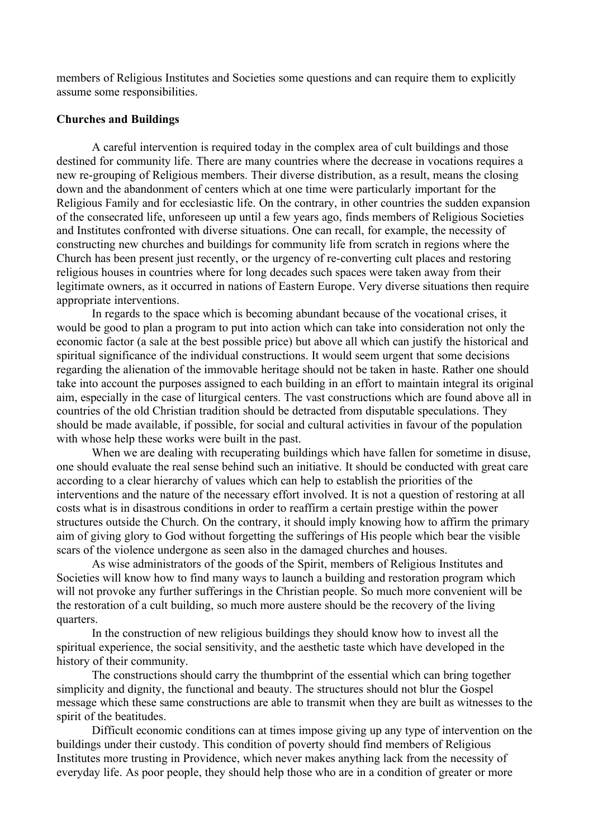members of Religious Institutes and Societies some questions and can require them to explicitly assume some responsibilities.

# **Churches and Buildings**

A careful intervention is required today in the complex area of cult buildings and those destined for community life. There are many countries where the decrease in vocations requires a new re-grouping of Religious members. Their diverse distribution, as a result, means the closing down and the abandonment of centers which at one time were particularly important for the Religious Family and for ecclesiastic life. On the contrary, in other countries the sudden expansion of the consecrated life, unforeseen up until a few years ago, finds members of Religious Societies and Institutes confronted with diverse situations. One can recall, for example, the necessity of constructing new churches and buildings for community life from scratch in regions where the Church has been present just recently, or the urgency of re-converting cult places and restoring religious houses in countries where for long decades such spaces were taken away from their legitimate owners, as it occurred in nations of Eastern Europe. Very diverse situations then require appropriate interventions.

In regards to the space which is becoming abundant because of the vocational crises, it would be good to plan a program to put into action which can take into consideration not only the economic factor (a sale at the best possible price) but above all which can justify the historical and spiritual significance of the individual constructions. It would seem urgent that some decisions regarding the alienation of the immovable heritage should not be taken in haste. Rather one should take into account the purposes assigned to each building in an effort to maintain integral its original aim, especially in the case of liturgical centers. The vast constructions which are found above all in countries of the old Christian tradition should be detracted from disputable speculations. They should be made available, if possible, for social and cultural activities in favour of the population with whose help these works were built in the past.

When we are dealing with recuperating buildings which have fallen for sometime in disuse, one should evaluate the real sense behind such an initiative. It should be conducted with great care according to a clear hierarchy of values which can help to establish the priorities of the interventions and the nature of the necessary effort involved. It is not a question of restoring at all costs what is in disastrous conditions in order to reaffirm a certain prestige within the power structures outside the Church. On the contrary, it should imply knowing how to affirm the primary aim of giving glory to God without forgetting the sufferings of His people which bear the visible scars of the violence undergone as seen also in the damaged churches and houses.

As wise administrators of the goods of the Spirit, members of Religious Institutes and Societies will know how to find many ways to launch a building and restoration program which will not provoke any further sufferings in the Christian people. So much more convenient will be the restoration of a cult building, so much more austere should be the recovery of the living quarters.

In the construction of new religious buildings they should know how to invest all the spiritual experience, the social sensitivity, and the aesthetic taste which have developed in the history of their community.

The constructions should carry the thumbprint of the essential which can bring together simplicity and dignity, the functional and beauty. The structures should not blur the Gospel message which these same constructions are able to transmit when they are built as witnesses to the spirit of the beatitudes.

Difficult economic conditions can at times impose giving up any type of intervention on the buildings under their custody. This condition of poverty should find members of Religious Institutes more trusting in Providence, which never makes anything lack from the necessity of everyday life. As poor people, they should help those who are in a condition of greater or more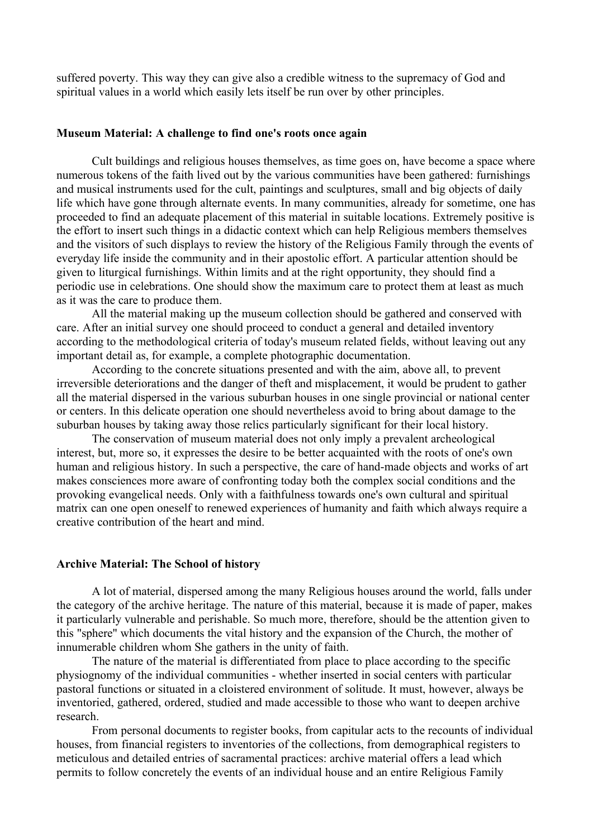suffered poverty. This way they can give also a credible witness to the supremacy of God and spiritual values in a world which easily lets itself be run over by other principles.

### **Museum Material: A challenge to find one's roots once again**

Cult buildings and religious houses themselves, as time goes on, have become a space where numerous tokens of the faith lived out by the various communities have been gathered: furnishings and musical instruments used for the cult, paintings and sculptures, small and big objects of daily life which have gone through alternate events. In many communities, already for sometime, one has proceeded to find an adequate placement of this material in suitable locations. Extremely positive is the effort to insert such things in a didactic context which can help Religious members themselves and the visitors of such displays to review the history of the Religious Family through the events of everyday life inside the community and in their apostolic effort. A particular attention should be given to liturgical furnishings. Within limits and at the right opportunity, they should find a periodic use in celebrations. One should show the maximum care to protect them at least as much as it was the care to produce them.

All the material making up the museum collection should be gathered and conserved with care. After an initial survey one should proceed to conduct a general and detailed inventory according to the methodological criteria of today's museum related fields, without leaving out any important detail as, for example, a complete photographic documentation.

According to the concrete situations presented and with the aim, above all, to prevent irreversible deteriorations and the danger of theft and misplacement, it would be prudent to gather all the material dispersed in the various suburban houses in one single provincial or national center or centers. In this delicate operation one should nevertheless avoid to bring about damage to the suburban houses by taking away those relics particularly significant for their local history.

The conservation of museum material does not only imply a prevalent archeological interest, but, more so, it expresses the desire to be better acquainted with the roots of one's own human and religious history. In such a perspective, the care of hand-made objects and works of art makes consciences more aware of confronting today both the complex social conditions and the provoking evangelical needs. Only with a faithfulness towards one's own cultural and spiritual matrix can one open oneself to renewed experiences of humanity and faith which always require a creative contribution of the heart and mind.

#### **Archive Material: The School of history**

A lot of material, dispersed among the many Religious houses around the world, falls under the category of the archive heritage. The nature of this material, because it is made of paper, makes it particularly vulnerable and perishable. So much more, therefore, should be the attention given to this "sphere" which documents the vital history and the expansion of the Church, the mother of innumerable children whom She gathers in the unity of faith.

The nature of the material is differentiated from place to place according to the specific physiognomy of the individual communities - whether inserted in social centers with particular pastoral functions or situated in a cloistered environment of solitude. It must, however, always be inventoried, gathered, ordered, studied and made accessible to those who want to deepen archive research.

From personal documents to register books, from capitular acts to the recounts of individual houses, from financial registers to inventories of the collections, from demographical registers to meticulous and detailed entries of sacramental practices: archive material offers a lead which permits to follow concretely the events of an individual house and an entire Religious Family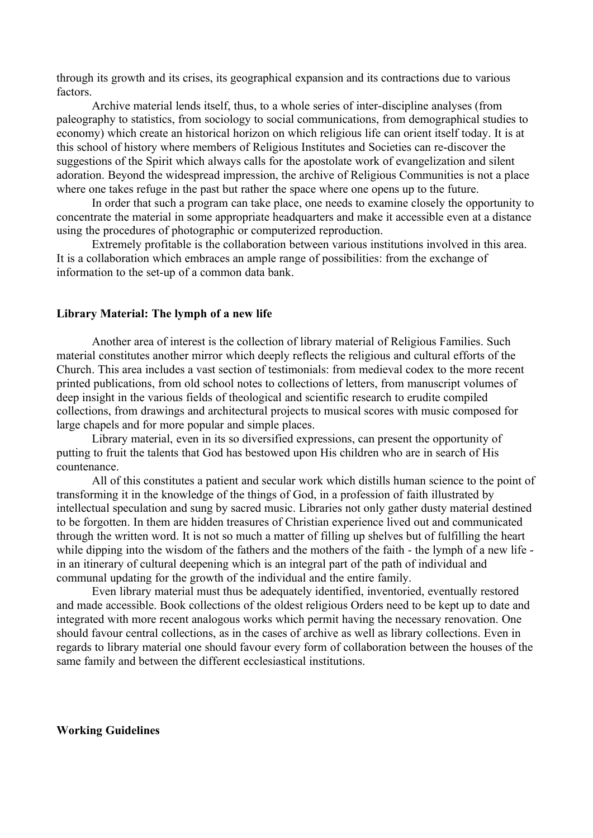through its growth and its crises, its geographical expansion and its contractions due to various factors.

Archive material lends itself, thus, to a whole series of inter-discipline analyses (from paleography to statistics, from sociology to social communications, from demographical studies to economy) which create an historical horizon on which religious life can orient itself today. It is at this school of history where members of Religious Institutes and Societies can re-discover the suggestions of the Spirit which always calls for the apostolate work of evangelization and silent adoration. Beyond the widespread impression, the archive of Religious Communities is not a place where one takes refuge in the past but rather the space where one opens up to the future.

In order that such a program can take place, one needs to examine closely the opportunity to concentrate the material in some appropriate headquarters and make it accessible even at a distance using the procedures of photographic or computerized reproduction.

Extremely profitable is the collaboration between various institutions involved in this area. It is a collaboration which embraces an ample range of possibilities: from the exchange of information to the set-up of a common data bank.

## **Library Material: The lymph of a new life**

Another area of interest is the collection of library material of Religious Families. Such material constitutes another mirror which deeply reflects the religious and cultural efforts of the Church. This area includes a vast section of testimonials: from medieval codex to the more recent printed publications, from old school notes to collections of letters, from manuscript volumes of deep insight in the various fields of theological and scientific research to erudite compiled collections, from drawings and architectural projects to musical scores with music composed for large chapels and for more popular and simple places.

Library material, even in its so diversified expressions, can present the opportunity of putting to fruit the talents that God has bestowed upon His children who are in search of His countenance.

All of this constitutes a patient and secular work which distills human science to the point of transforming it in the knowledge of the things of God, in a profession of faith illustrated by intellectual speculation and sung by sacred music. Libraries not only gather dusty material destined to be forgotten. In them are hidden treasures of Christian experience lived out and communicated through the written word. It is not so much a matter of filling up shelves but of fulfilling the heart while dipping into the wisdom of the fathers and the mothers of the faith - the lymph of a new life in an itinerary of cultural deepening which is an integral part of the path of individual and communal updating for the growth of the individual and the entire family.

Even library material must thus be adequately identified, inventoried, eventually restored and made accessible. Book collections of the oldest religious Orders need to be kept up to date and integrated with more recent analogous works which permit having the necessary renovation. One should favour central collections, as in the cases of archive as well as library collections. Even in regards to library material one should favour every form of collaboration between the houses of the same family and between the different ecclesiastical institutions.

**Working Guidelines**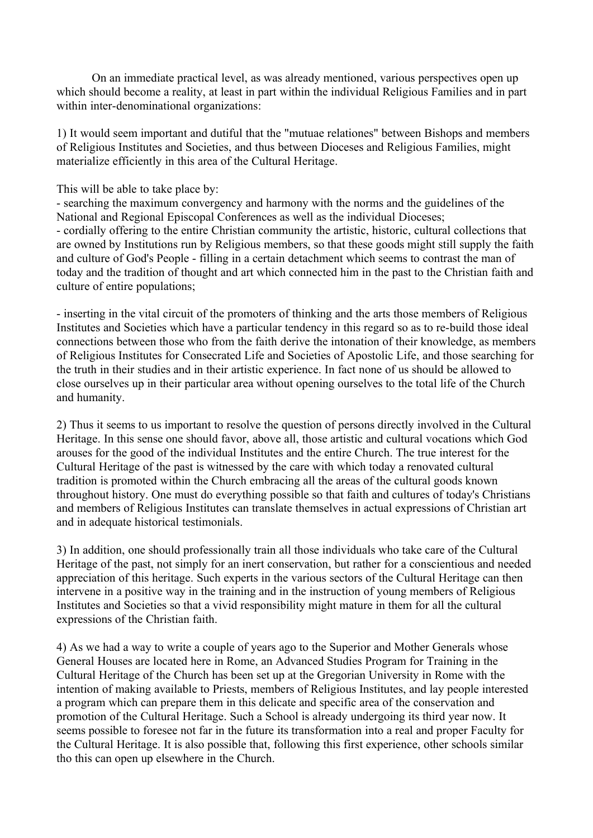On an immediate practical level, as was already mentioned, various perspectives open up which should become a reality, at least in part within the individual Religious Families and in part within inter-denominational organizations:

1) It would seem important and dutiful that the "mutuae relationes" between Bishops and members of Religious Institutes and Societies, and thus between Dioceses and Religious Families, might materialize efficiently in this area of the Cultural Heritage.

This will be able to take place by:

- searching the maximum convergency and harmony with the norms and the guidelines of the National and Regional Episcopal Conferences as well as the individual Dioceses; - cordially offering to the entire Christian community the artistic, historic, cultural collections that are owned by Institutions run by Religious members, so that these goods might still supply the faith and culture of God's People - filling in a certain detachment which seems to contrast the man of today and the tradition of thought and art which connected him in the past to the Christian faith and culture of entire populations;

- inserting in the vital circuit of the promoters of thinking and the arts those members of Religious Institutes and Societies which have a particular tendency in this regard so as to re-build those ideal connections between those who from the faith derive the intonation of their knowledge, as members of Religious Institutes for Consecrated Life and Societies of Apostolic Life, and those searching for the truth in their studies and in their artistic experience. In fact none of us should be allowed to close ourselves up in their particular area without opening ourselves to the total life of the Church and humanity.

2) Thus it seems to us important to resolve the question of persons directly involved in the Cultural Heritage. In this sense one should favor, above all, those artistic and cultural vocations which God arouses for the good of the individual Institutes and the entire Church. The true interest for the Cultural Heritage of the past is witnessed by the care with which today a renovated cultural tradition is promoted within the Church embracing all the areas of the cultural goods known throughout history. One must do everything possible so that faith and cultures of today's Christians and members of Religious Institutes can translate themselves in actual expressions of Christian art and in adequate historical testimonials.

3) In addition, one should professionally train all those individuals who take care of the Cultural Heritage of the past, not simply for an inert conservation, but rather for a conscientious and needed appreciation of this heritage. Such experts in the various sectors of the Cultural Heritage can then intervene in a positive way in the training and in the instruction of young members of Religious Institutes and Societies so that a vivid responsibility might mature in them for all the cultural expressions of the Christian faith.

4) As we had a way to write a couple of years ago to the Superior and Mother Generals whose General Houses are located here in Rome, an Advanced Studies Program for Training in the Cultural Heritage of the Church has been set up at the Gregorian University in Rome with the intention of making available to Priests, members of Religious Institutes, and lay people interested a program which can prepare them in this delicate and specific area of the conservation and promotion of the Cultural Heritage. Such a School is already undergoing its third year now. It seems possible to foresee not far in the future its transformation into a real and proper Faculty for the Cultural Heritage. It is also possible that, following this first experience, other schools similar tho this can open up elsewhere in the Church.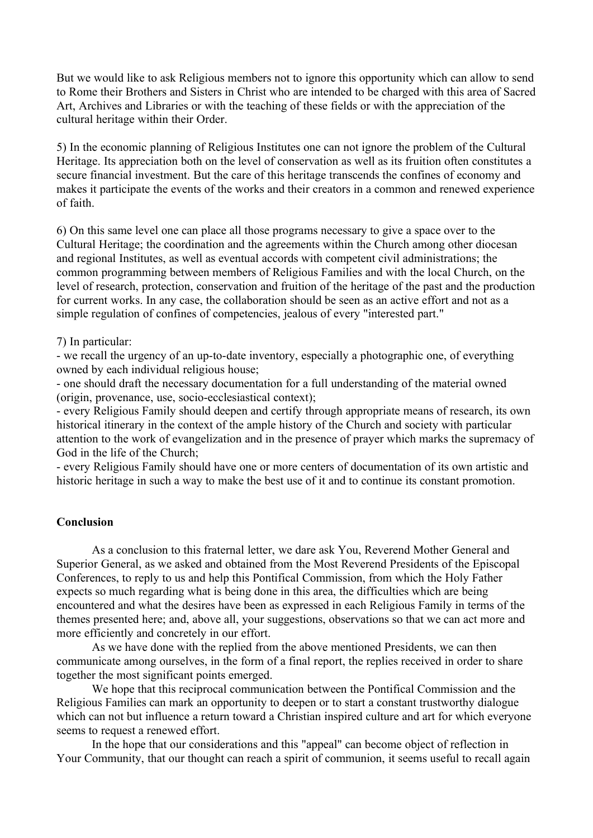But we would like to ask Religious members not to ignore this opportunity which can allow to send to Rome their Brothers and Sisters in Christ who are intended to be charged with this area of Sacred Art, Archives and Libraries or with the teaching of these fields or with the appreciation of the cultural heritage within their Order.

5) In the economic planning of Religious Institutes one can not ignore the problem of the Cultural Heritage. Its appreciation both on the level of conservation as well as its fruition often constitutes a secure financial investment. But the care of this heritage transcends the confines of economy and makes it participate the events of the works and their creators in a common and renewed experience of faith.

6) On this same level one can place all those programs necessary to give a space over to the Cultural Heritage; the coordination and the agreements within the Church among other diocesan and regional Institutes, as well as eventual accords with competent civil administrations; the common programming between members of Religious Families and with the local Church, on the level of research, protection, conservation and fruition of the heritage of the past and the production for current works. In any case, the collaboration should be seen as an active effort and not as a simple regulation of confines of competencies, jealous of every "interested part."

## 7) In particular:

- we recall the urgency of an up-to-date inventory, especially a photographic one, of everything owned by each individual religious house;

- one should draft the necessary documentation for a full understanding of the material owned (origin, provenance, use, socio-ecclesiastical context);

- every Religious Family should deepen and certify through appropriate means of research, its own historical itinerary in the context of the ample history of the Church and society with particular attention to the work of evangelization and in the presence of prayer which marks the supremacy of God in the life of the Church;

- every Religious Family should have one or more centers of documentation of its own artistic and historic heritage in such a way to make the best use of it and to continue its constant promotion.

## **Conclusion**

As a conclusion to this fraternal letter, we dare ask You, Reverend Mother General and Superior General, as we asked and obtained from the Most Reverend Presidents of the Episcopal Conferences, to reply to us and help this Pontifical Commission, from which the Holy Father expects so much regarding what is being done in this area, the difficulties which are being encountered and what the desires have been as expressed in each Religious Family in terms of the themes presented here; and, above all, your suggestions, observations so that we can act more and more efficiently and concretely in our effort.

As we have done with the replied from the above mentioned Presidents, we can then communicate among ourselves, in the form of a final report, the replies received in order to share together the most significant points emerged.

We hope that this reciprocal communication between the Pontifical Commission and the Religious Families can mark an opportunity to deepen or to start a constant trustworthy dialogue which can not but influence a return toward a Christian inspired culture and art for which everyone seems to request a renewed effort.

In the hope that our considerations and this "appeal" can become object of reflection in Your Community, that our thought can reach a spirit of communion, it seems useful to recall again